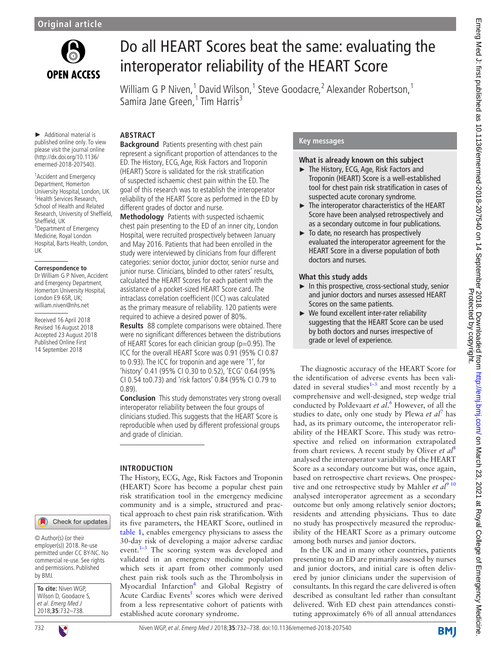

# Do all HEART Scores beat the same: evaluating the interoperator reliability of the HEART Score

William G P Niven,<sup>1</sup> David Wilson,<sup>1</sup> Steve Goodacre,<sup>2</sup> Alexander Robertson,<sup>1</sup> Samira Jane Green,<sup>1</sup> Tim Harris<sup>3</sup>

► Additional material is published online only. To view please visit the journal online (http://dx.doi.org/10.1136/ emermed-2018-207540).

<sup>1</sup> Accident and Emergency Department, Homerton University Hospital, London, UK 2 Health Services Research, School of Health and Related Research, University of Sheffield, Sheffield, UK <sup>3</sup> Department of Emergency Medicine, Royal London Hospital, Barts Health, London, UK

#### **Correspondence to**

Dr William G P Niven, Accident and Emergency Department, Homerton University Hospital, London E9 6SR, UK; william.niven@nhs.net

Received 16 April 2018 Revised 16 August 2018 Accepted 23 August 2018 Published Online First 14 September 2018



© Author(s) (or their employer(s)) 2018. Re-use permitted under CC BY-NC. No commercial re-use. See rights and permissions. Published by BMJ.

| To cite: Niven WGP,   |
|-----------------------|
| Wilson D, Goodacre S, |
| et al. Emerg Med J    |
| 2018;35:732-738.      |

# **Abstract**

**Background** Patients presenting with chest pain represent a significant proportion of attendances to the ED. The History, ECG, Age, Risk Factors and Troponin (HEART) Score is validated for the risk stratification of suspected ischaemic chest pain within the ED. The goal of this research was to establish the interoperator reliability of the HEART Score as performed in the ED by different grades of doctor and nurse.

**Methodology** Patients with suspected ischaemic chest pain presenting to the ED of an inner city, London Hospital, were recruited prospectively between January and May 2016. Patients that had been enrolled in the study were interviewed by clinicians from four different categories: senior doctor, junior doctor, senior nurse and junior nurse. Clinicians, blinded to other raters' results, calculated the HEART Scores for each patient with the assistance of a pocket-sized HEART Score card. The intraclass correlation coefficient (ICC) was calculated as the primary measure of reliability. 120 patients were required to achieve a desired power of 80%.

**Results** 88 complete comparisons were obtained. There were no significant differences between the distributions of HEART Scores for each clinician group (p=0.95). The ICC for the overall HEART Score was 0.91 (95% CI 0.87 to 0.93). The ICC for troponin and age were '1', for 'history' 0.41 (95% CI 0.30 to 0.52), 'ECG' 0.64 (95% CI 0.54 to0.73) and 'risk factors' 0.84 (95% CI 0.79 to 0.89).

**Conclusion** This study demonstrates very strong overall interoperator reliability between the four groups of clinicians studied. This suggests that the HEART Score is reproducible when used by different professional groups and grade of clinician.

## **Introduction**

The History, ECG, Age, Risk Factors and Troponin (HEART) Score has become a popular chest pain risk stratification tool in the emergency medicine community and is a simple, structured and practical approach to chest pain risk stratification. With its five parameters, the HEART Score, outlined in [table](#page-1-0) 1, enables emergency physicians to assess the 30-day risk of developing a major adverse cardiac event. $1-3$  The scoring system was developed and validated in an emergency medicine population which sets it apart from other commonly used chest pain risk tools such as the Thrombolysis in Myocardial Infarction<sup>[4](#page-6-1)</sup> and Global Registry of Acute Cardiac Events<sup>[5](#page-6-2)</sup> scores which were derived from a less representative cohort of patients with established acute coronary syndrome.

### **Key messages**

#### **What is already known on this subject**

- ► The History, ECG, Age, Risk Factors and Troponin (HEART) Score is a well-established tool for chest pain risk stratification in cases of suspected acute coronary syndrome.
- ► The interoperator characteristics of the HEART Score have been analysed retrospectively and as a secondary outcome in four publications.
- ► To date, no research has prospectively evaluated the interoperator agreement for the HEART Score in a diverse population of both doctors and nurses.

#### **What this study adds**

- ► In this prospective, cross-sectional study, senior and junior doctors and nurses assessed HEART Scores on the same patients.
- ► We found excellent inter-rater reliability suggesting that the HEART Score can be used by both doctors and nurses irrespective of grade or level of experience.

The diagnostic accuracy of the HEART Score for the identification of adverse events has been validated in several studies $1-3$  and most recently by a comprehensive and well-designed, step wedge trial conducted by Poldevaart et al.<sup>[6](#page-6-3)</sup> However, of all the studies to date, only one study by Plewa *et al*[7](#page-6-4) has had, as its primary outcome, the interoperator reliability of the HEART Score. This study was retrospective and relied on information extrapolated from chart reviews. A recent study by Oliver *et al*[8](#page-6-5) analysed the interoperator variability of the HEART Score as a secondary outcome but was, once again, based on retrospective chart reviews. One prospective and one retrospective study by Mahler *et al*<sup>[9 10](#page-6-6)</sup> analysed interoperator agreement as a secondary outcome but only among relatively senior doctors; residents and attending physicians. Thus to date no study has prospectively measured the reproducibility of the HEART Score as a primary outcome among both nurses and junior doctors.

In the UK and in many other countries, patients presenting to an ED are primarily assessed by nurses and junior doctors, and initial care is often delivered by junior clinicians under the supervision of consultants. In this regard the care delivered is often described as consultant led rather than consultant delivered. With ED chest pain attendances constituting approximately 6% of all annual attendances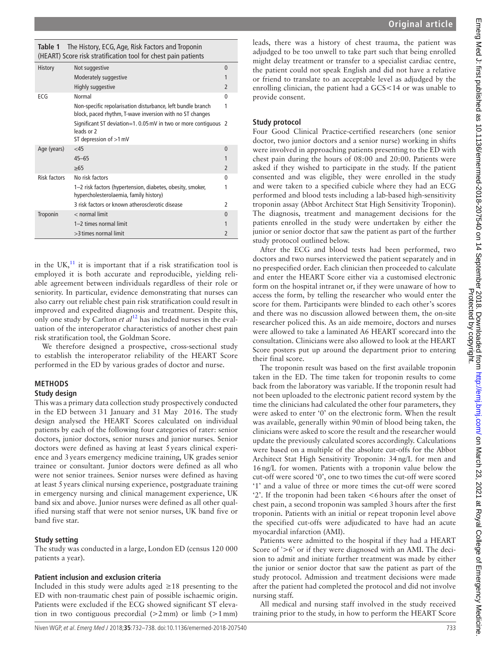<span id="page-1-0"></span>

|                                                                | <b>Table 1</b> The History, ECG, Age, Risk Factors and Troponin |  |  |
|----------------------------------------------------------------|-----------------------------------------------------------------|--|--|
| (HEART) Score risk stratification tool for chest pain patients |                                                                 |  |  |

| History             | Not suggestive                                                                                                          | $\mathbf{0}$             |  |  |
|---------------------|-------------------------------------------------------------------------------------------------------------------------|--------------------------|--|--|
|                     | Moderately suggestive                                                                                                   | 1                        |  |  |
|                     | Highly suggestive                                                                                                       | $\overline{\phantom{a}}$ |  |  |
| ECG                 | Normal                                                                                                                  | 0                        |  |  |
|                     | Non-specific repolarisation disturbance, left bundle branch<br>block, paced rhythm, T-wave inversion with no ST changes | 1                        |  |  |
|                     | Significant ST deviation=1.0.05 mV in two or more contiquous 2<br>leads or 2<br>ST depression of $>1$ mV                |                          |  |  |
| Age (years)         | $<$ 45                                                                                                                  | $\Omega$                 |  |  |
|                     | $45 - 65$                                                                                                               |                          |  |  |
|                     | $\geq 65$                                                                                                               | $\overline{\phantom{a}}$ |  |  |
| <b>Risk factors</b> | No risk factors                                                                                                         | 0                        |  |  |
|                     | 1–2 risk factors (hypertension, diabetes, obesity, smoker,<br>hypercholesterolaemia, family history)                    | 1                        |  |  |
|                     | 3 risk factors or known atherosclerotic disease                                                                         | 2                        |  |  |
| Troponin            | $<$ normal limit                                                                                                        | $\Omega$                 |  |  |
|                     | 1-2 times normal limit                                                                                                  | 1                        |  |  |
|                     | >3 times normal limit                                                                                                   | $\overline{2}$           |  |  |
|                     |                                                                                                                         |                          |  |  |

in the UK, $^{11}$  $^{11}$  $^{11}$  it is important that if a risk stratification tool is employed it is both accurate and reproducible, yielding reliable agreement between individuals regardless of their role or seniority. In particular, evidence demonstrating that nurses can also carry out reliable chest pain risk stratification could result in improved and expedited diagnosis and treatment. Despite this, only one study by Carlton *et al*[12](#page-6-8) has included nurses in the evaluation of the interoperator characteristics of another chest pain risk stratification tool, the Goldman Score.

We therefore designed a prospective, cross-sectional study to establish the interoperator reliability of the HEART Score performed in the ED by various grades of doctor and nurse.

# **Methods**

## **Study design**

This was a primary data collection study prospectively conducted in the ED between 31 January and 31 May 2016. The study design analysed the HEART Scores calculated on individual patients by each of the following four categories of rater: senior doctors, junior doctors, senior nurses and junior nurses. Senior doctors were defined as having at least 5years clinical experience and 3years emergency medicine training, UK grades senior trainee or consultant. Junior doctors were defined as all who were not senior trainees. Senior nurses were defined as having at least 5years clinical nursing experience, postgraduate training in emergency nursing and clinical management experience, UK band six and above. Junior nurses were defined as all other qualified nursing staff that were not senior nurses, UK band five or band five star.

# **Study setting**

The study was conducted in a large, London ED (census 120 000 patients a year).

# **Patient inclusion and exclusion criteria**

Included in this study were adults aged  $\geq$  18 presenting to the ED with non-traumatic chest pain of possible ischaemic origin. Patients were excluded if the ECG showed significant ST elevation in two contiguous precordial  $(22 \text{ mm})$  or limb  $(21 \text{ mm})$ 

leads, there was a history of chest trauma, the patient was adjudged to be too unwell to take part such that being enrolled might delay treatment or transfer to a specialist cardiac centre, the patient could not speak English and did not have a relative or friend to translate to an acceptable level as adjudged by the enrolling clinician, the patient had a GCS<14 or was unable to provide consent.

## **Study protocol**

Four Good Clinical Practice-certified researchers (one senior doctor, two junior doctors and a senior nurse) working in shifts were involved in approaching patients presenting to the ED with chest pain during the hours of 08:00 and 20:00. Patients were asked if they wished to participate in the study. If the patient consented and was eligible, they were enrolled in the study and were taken to a specified cubicle where they had an ECG performed and blood tests including a lab-based high-sensitivity troponin assay (Abbot Architect Stat High Sensitivity Troponin). The diagnosis, treatment and management decisions for the patients enrolled in the study were undertaken by either the junior or senior doctor that saw the patient as part of the further study protocol outlined below.

After the ECG and blood tests had been performed, two doctors and two nurses interviewed the patient separately and in no prespecified order. Each clinician then proceeded to calculate and enter the HEART Score either via a customised electronic form on the hospital intranet or, if they were unaware of how to access the form, by telling the researcher who would enter the score for them. Participants were blinded to each other's scores and there was no discussion allowed between them, the on-site researcher policed this. As an aide memoire, doctors and nurses were allowed to take a laminated A6 HEART scorecard into the consultation. Clinicians were also allowed to look at the HEART Score posters put up around the department prior to entering their final score.

The troponin result was based on the first available troponin taken in the ED. The time taken for troponin results to come back from the laboratory was variable. If the troponin result had not been uploaded to the electronic patient record system by the time the clinicians had calculated the other four parameters, they were asked to enter '0' on the electronic form. When the result was available, generally within 90min of blood being taken, the clinicians were asked to score the result and the researcher would update the previously calculated scores accordingly. Calculations were based on a multiple of the absolute cut-offs for the Abbot Architect Stat High Sensitivity Troponin: 34ng/L for men and 16ng/L for women. Patients with a troponin value below the cut-off were scored '0', one to two times the cut-off were scored '1' and a value of three or more times the cut-off were scored '2'. If the troponin had been taken <6hours after the onset of chest pain, a second troponin was sampled 3hours after the first troponin. Patients with an initial or repeat troponin level above the specified cut-offs were adjudicated to have had an acute myocardial infarction (AMI).

Patients were admitted to the hospital if they had a HEART Score of '>6' or if they were diagnosed with an AMI. The decision to admit and initiate further treatment was made by either the junior or senior doctor that saw the patient as part of the study protocol. Admission and treatment decisions were made after the patient had completed the protocol and did not involve nursing staff.

All medical and nursing staff involved in the study received training prior to the study, in how to perform the HEART Score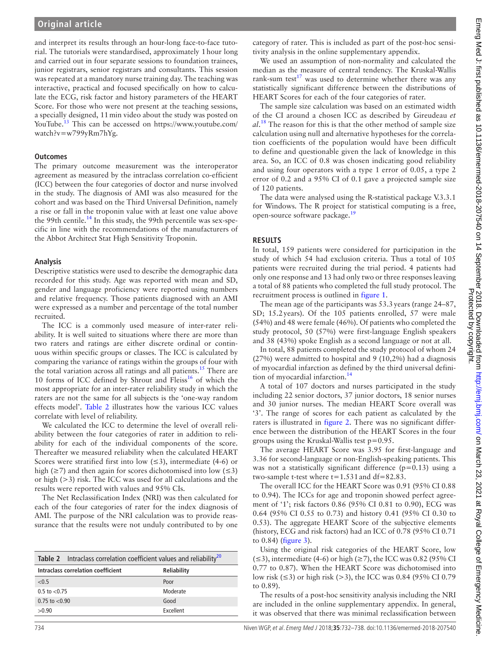and interpret its results through an hour-long face-to-face tutorial. The tutorials were standardised, approximately 1hour long and carried out in four separate sessions to foundation trainees, junior registrars, senior registrars and consultants. This session was repeated at a mandatory nurse training day. The teaching was interactive, practical and focused specifically on how to calculate the ECG, risk factor and history parameters of the HEART Score. For those who were not present at the teaching sessions, a specially designed, 11min video about the study was posted on YouTube.<sup>13</sup> This can be accessed on [https://www.youtube.com/](https://www.youtube.com/watch?v=w799yRm7hYg) [watch?v=w799yRm7hYg.](https://www.youtube.com/watch?v=w799yRm7hYg)

#### **Outcomes**

The primary outcome measurement was the interoperator agreement as measured by the intraclass correlation co-efficient (ICC) between the four categories of doctor and nurse involved in the study. The diagnosis of AMI was also measured for the cohort and was based on the Third Universal Definition, namely a rise or fall in the troponin value with at least one value above the 99th centile.<sup>[14](#page-6-10)</sup> In this study, the 99th percentile was sex-specific in line with the recommendations of the manufacturers of the Abbot Architect Stat High Sensitivity Troponin.

#### **Analysis**

Descriptive statistics were used to describe the demographic data recorded for this study. Age was reported with mean and SD, gender and language proficiency were reported using numbers and relative frequency. Those patients diagnosed with an AMI were expressed as a number and percentage of the total number recruited.

The ICC is a commonly used measure of inter-rater reliability. It is well suited to situations where there are more than two raters and ratings are either discrete ordinal or continuous within specific groups or classes. The ICC is calculated by comparing the variance of ratings within the groups of four with the total variation across all ratings and all patients.<sup>15</sup> There are 10 forms of ICC defined by Shrout and Fleiss $^{16}$  of which the most appropriate for an inter-rater reliability study in which the raters are not the same for all subjects is the 'one-way random effects model'. [Table](#page-2-0) 2 illustrates how the various ICC values correlate with level of reliability.

We calculated the ICC to determine the level of overall reliability between the four categories of rater in addition to reliability for each of the individual components of the score. Thereafter we measured reliability when the calculated HEART Scores were stratified first into low  $(\leq 3)$ , intermediate (4-6) or high ( $\geq$ 7) and then again for scores dichotomised into low ( $\leq$ 3) or high (>3) risk. The ICC was used for all calculations and the results were reported with values and 95% CIs.

The Net Reclassification Index (NRI) was then calculated for each of the four categories of rater for the index diagnosis of AMI. The purpose of the NRI calculation was to provide reassurance that the results were not unduly contributed to by one

<span id="page-2-0"></span>

| Table 2 Intraclass correlation coefficient values and reliability $^{20}$ |             |  |
|---------------------------------------------------------------------------|-------------|--|
| Intraclass correlation coefficient                                        | Reliability |  |
| < 0.5                                                                     | Poor        |  |
| $0.5$ to $< 0.75$                                                         | Moderate    |  |
| $0.75$ to $< 0.90$                                                        | Good        |  |
| >0.90                                                                     | Excellent   |  |

category of rater. This is included as part of the post-hoc sensitivity analysis in the online [supplementary appendix](https://dx.doi.org/10.1136/emermed-2018-207540).

We used an assumption of non-normality and calculated the median as the measure of central tendency. The Kruskal-Wallis rank-sum test<sup>17</sup> was used to determine whether there was any statistically significant difference between the distributions of HEART Scores for each of the four categories of rater.

The sample size calculation was based on an estimated width of the CI around a chosen ICC as described by Gireudeau *et al*. [18](#page-6-14) The reason for this is that the other method of sample size calculation using null and alternative hypotheses for the correlation coefficients of the population would have been difficult to define and questionable given the lack of knowledge in this area. So, an ICC of 0.8 was chosen indicating good reliability and using four operators with a type 1 error of 0.05, a type 2 error of 0.2 and a 95% CI of 0.1 gave a projected sample size of 120 patients.

The data were analysed using the R-statistical package V.3.3.1 for Windows. The R project for statistical computing is a free, open-source software package.<sup>19</sup>

#### **Results**

In total, 159 patients were considered for participation in the study of which 54 had exclusion criteria. Thus a total of 105 patients were recruited during the trial period. 4 patients had only one response and 13 had only two or three responses leaving a total of 88 patients who completed the full study protocol. The recruitment process is outlined in [figure](#page-3-0) 1.

The mean age of the participants was 53.3years (range 24–87, SD; 15.2years). Of the 105 patients enrolled, 57 were male (54%) and 48 were female (46%). Of patients who completed the study protocol, 50 (57%) were first-language English speakers and 38 (43%) spoke English as a second language or not at all.

In total, 88 patients completed the study protocol of whom 24 (27%) were admitted to hospital and 9 (10,2%) had a diagnosis of myocardial infarction as defined by the third universal defini-tion of myocardial infarction.<sup>[14](#page-6-10)</sup>

A total of 107 doctors and nurses participated in the study including 22 senior doctors, 37 junior doctors, 18 senior nurses and 30 junior nurses. The median HEART Score overall was '3'. The range of scores for each patient as calculated by the raters is illustrated in [figure](#page-4-0) 2. There was no significant difference between the distribution of the HEART Scores in the four groups using the Kruskal-Wallis test p=0.95.

The average HEART Score was 3.95 for first-language and 3.36 for second-language or non-English-speaking patients. This was not a statistically significant difference  $(p=0.13)$  using a two-sample t-test where t=1.531and df=82.83.

The overall ICC for the HEART Score was 0.91 (95% CI 0.88 to 0.94). The ICCs for age and troponin showed perfect agreement of '1'; risk factors 0.86 (95% CI 0.81 to 0.90), ECG was 0.64 (95% CI 0.55 to 0.73) and history 0.41 (95% CI 0.30 to 0.53). The aggregate HEART Score of the subjective elements (history, ECG and risk factors) had an ICC of 0.78 (95% CI 0.71 to 0.84) [\(figure](#page-4-1) 3).

Using the original risk categories of the HEART Score, low  $(\leq 3)$ , intermediate (4-6) or high ( $\geq 7$ ), the ICC was 0.82 (95% CI 0.77 to 0.87). When the HEART Score was dichotomised into low risk ( $\leq$ 3) or high risk ( $>$ 3), the ICC was 0.84 (95% CI 0.79 to 0.89).

The results of a post-hoc sensitivity analysis including the NRI are included in the online [supplementary appendix](https://dx.doi.org/10.1136/emermed-2018-207540). In general, it was observed that there was minimal reclassification between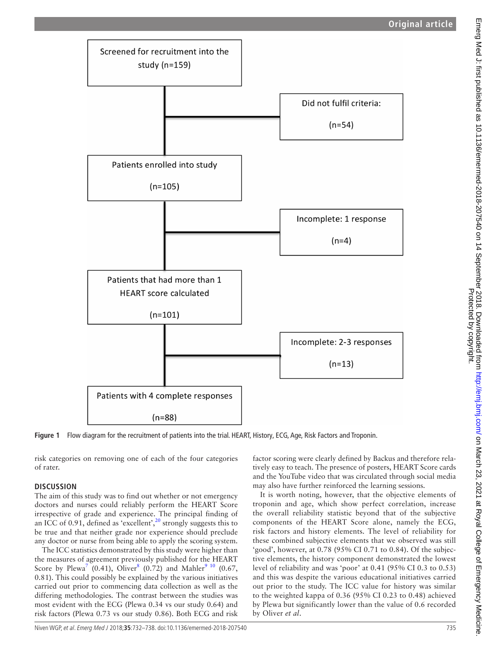

<span id="page-3-0"></span>**Figure 1** Flow diagram for the recruitment of patients into the trial. HEART, History, ECG, Age, Risk Factors and Troponin.

risk categories on removing one of each of the four categories of rater.

## **Discussion**

The aim of this study was to find out whether or not emergency doctors and nurses could reliably perform the HEART Score irrespective of grade and experience. The principal finding of an ICC of 0.91, defined as 'excellent',<sup>20</sup> strongly suggests this to be true and that neither grade nor experience should preclude any doctor or nurse from being able to apply the scoring system.

The ICC statistics demonstrated by this study were higher than the measures of agreement previously published for the HEART Score by Plewa<sup>[7](#page-6-4)</sup> (0.41), Oliver<sup>8</sup> (0.72) and Mahler<sup>9 10</sup> (0.67, 0.81). This could possibly be explained by the various initiatives carried out prior to commencing data collection as well as the differing methodologies. The contrast between the studies was most evident with the ECG (Plewa 0.34 vs our study 0.64) and risk factors (Plewa 0.73 vs our study 0.86). Both ECG and risk

factor scoring were clearly defined by Backus and therefore relatively easy to teach. The presence of posters, HEART Score cards and the YouTube video that was circulated through social media may also have further reinforced the learning sessions.

It is worth noting, however, that the objective elements of troponin and age, which show perfect correlation, increase the overall reliability statistic beyond that of the subjective components of the HEART Score alone, namely the ECG, risk factors and history elements. The level of reliability for these combined subjective elements that we observed was still 'good', however, at 0.78 (95% CI 0.71 to 0.84). Of the subjective elements, the history component demonstrated the lowest level of reliability and was 'poor' at 0.41 (95% CI 0.3 to 0.53) and this was despite the various educational initiatives carried out prior to the study. The ICC value for history was similar to the weighted kappa of 0.36 (95% CI 0.23 to 0.48) achieved by Plewa but significantly lower than the value of 0.6 recorded by Oliver *et al*.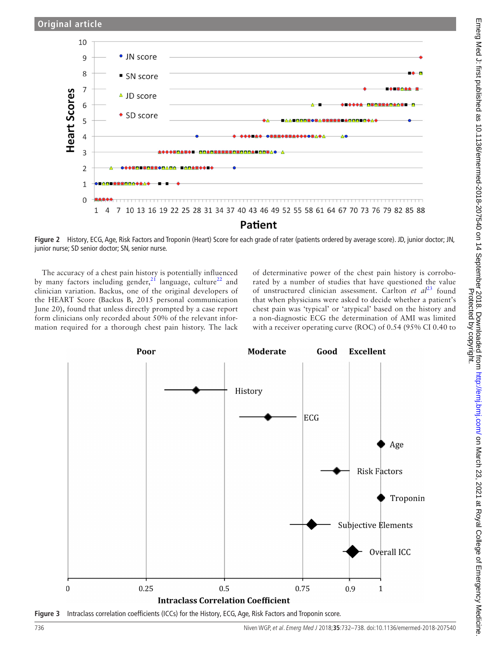

<span id="page-4-0"></span>**Figure 2** History, ECG, Age, Risk Factors and Troponin (Heart) Score for each grade of rater (patients ordered by average score). JD, junior doctor; JN, junior nurse; SD senior doctor; SN, senior nurse.

The accuracy of a chest pain history is potentially influenced by many factors including gender,  $21$  language, culture<sup>22</sup> and clinician variation. Backus, one of the original developers of the HEART Score (Backus B, 2015 personal communication June 20), found that unless directly prompted by a case report form clinicians only recorded about 50% of the relevant information required for a thorough chest pain history. The lack

of determinative power of the chest pain history is corroborated by a number of studies that have questioned the value of unstructured clinician assessment. Carlton *et al*<sup>23</sup> found that when physicians were asked to decide whether a patient's chest pain was 'typical' or 'atypical' based on the history and a non-diagnostic ECG the determination of AMI was limited with a receiver operating curve (ROC) of 0.54 (95% CI 0.40 to



<span id="page-4-1"></span>**Figure 3** Intraclass correlation coefficients (ICCs) for the History, ECG, Age, Risk Factors and Troponin score.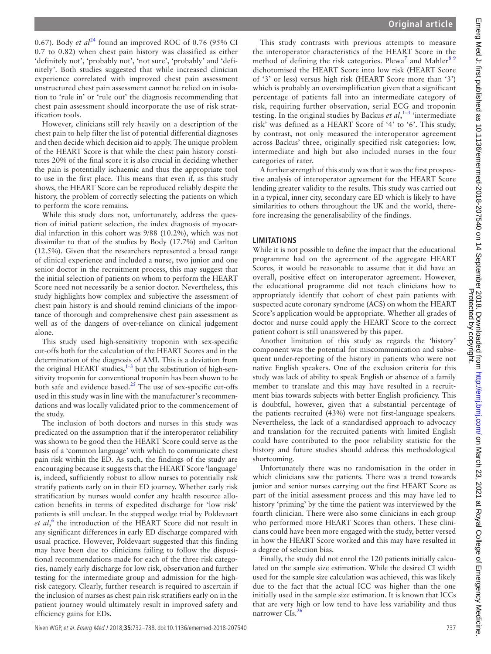0.67). Body *et al*<sup>[24](#page-6-20)</sup> found an improved ROC of 0.76 (95% CI 0.7 to 0.82) when chest pain history was classified as either 'definitely not', 'probably not', 'not sure', 'probably' and 'definitely'. Both studies suggested that while increased clinician experience correlated with improved chest pain assessment unstructured chest pain assessment cannot be relied on in isolation to 'rule in' or 'rule out' the diagnosis recommending that chest pain assessment should incorporate the use of risk stratification tools.

However, clinicians still rely heavily on a description of the chest pain to help filter the list of potential differential diagnoses and then decide which decision aid to apply. The unique problem of the HEART Score is that while the chest pain history constitutes 20% of the final score it is also crucial in deciding whether the pain is potentially ischaemic and thus the appropriate tool to use in the first place. This means that even if, as this study shows, the HEART Score can be reproduced reliably despite the history, the problem of correctly selecting the patients on which to perform the score remains.

While this study does not, unfortunately, address the question of initial patient selection, the index diagnosis of myocardial infarction in this cohort was 9/88 (10.2%), which was not dissimilar to that of the studies by Body (17.7%) and Carlton (12.5%). Given that the researchers represented a broad range of clinical experience and included a nurse, two junior and one senior doctor in the recruitment process, this may suggest that the initial selection of patients on whom to perform the HEART Score need not necessarily be a senior doctor. Nevertheless, this study highlights how complex and subjective the assessment of chest pain history is and should remind clinicians of the importance of thorough and comprehensive chest pain assessment as well as of the dangers of over-reliance on clinical judgement alone.

This study used high-sensitivity troponin with sex-specific cut-offs both for the calculation of the HEART Scores and in the determination of the diagnosis of AMI. This is a deviation from the original HEART studies, $1-3$  but the substitution of high-sensitivity troponin for conventional troponin has been shown to be both safe and evidence based.<sup>25</sup> The use of sex-specific cut-offs used in this study was in line with the manufacturer's recommendations and was locally validated prior to the commencement of the study.

The inclusion of both doctors and nurses in this study was predicated on the assumption that if the interoperator reliability was shown to be good then the HEART Score could serve as the basis of a 'common language' with which to communicate chest pain risk within the ED. As such, the findings of the study are encouraging because it suggests that the HEART Score 'language' is, indeed, sufficiently robust to allow nurses to potentially risk stratify patients early on in their ED journey. Whether early risk stratification by nurses would confer any health resource allocation benefits in terms of expedited discharge for 'low risk' patients is still unclear. In the stepped wedge trial by Poldevaart et al,<sup>[6](#page-6-3)</sup> the introduction of the HEART Score did not result in any significant differences in early ED discharge compared with usual practice. However, Poldevaart suggested that this finding may have been due to clinicians failing to follow the dispositional recommendations made for each of the three risk categories, namely early discharge for low risk, observation and further testing for the intermediate group and admission for the highrisk category. Clearly, further research is required to ascertain if the inclusion of nurses as chest pain risk stratifiers early on in the patient journey would ultimately result in improved safety and efficiency gains for EDs.

This study contrasts with previous attempts to measure the interoperator characteristics of the HEART Score in the method of defining the risk categories. Plewa<sup>[7](#page-6-4)</sup> and Mahler<sup>89</sup> dichotomised the HEART Score into low risk (HEART Score of '3' or less) versus high risk (HEART Score more than '3') which is probably an oversimplification given that a significant percentage of patients fall into an intermediate category of risk, requiring further observation, serial ECG and troponin testing. In the original studies by Backus *et al*, [1–3](#page-6-0) 'intermediate risk' was defined as a HEART Score of '4' to '6'. This study, by contrast, not only measured the interoperator agreement across Backus' three, originally specified risk categories: low, intermediate and high but also included nurses in the four categories of rater.

A further strength of this study was that it was the first prospective analysis of interoperator agreement for the HEART Score lending greater validity to the results. This study was carried out in a typical, inner city, secondary care ED which is likely to have similarities to others throughout the UK and the world, therefore increasing the generalisability of the findings.

## **Limitations**

While it is not possible to define the impact that the educational programme had on the agreement of the aggregate HEART Scores, it would be reasonable to assume that it did have an overall, positive effect on interoperator agreement. However, the educational programme did not teach clinicians how to appropriately identify that cohort of chest pain patients with suspected acute coronary syndrome (ACS) on whom the HEART Score's application would be appropriate. Whether all grades of doctor and nurse could apply the HEART Score to the correct patient cohort is still unanswered by this paper.

Another limitation of this study as regards the 'history' component was the potential for miscommunication and subsequent under-reporting of the history in patients who were not native English speakers. One of the exclusion criteria for this study was lack of ability to speak English or absence of a family member to translate and this may have resulted in a recruitment bias towards subjects with better English proficiency. This is doubtful, however, given that a substantial percentage of the patients recruited (43%) were not first-language speakers. Nevertheless, the lack of a standardised approach to advocacy and translation for the recruited patients with limited English could have contributed to the poor reliability statistic for the history and future studies should address this methodological shortcoming.

Unfortunately there was no randomisation in the order in which clinicians saw the patients. There was a trend towards junior and senior nurses carrying out the first HEART Score as part of the initial assessment process and this may have led to history 'priming' by the time the patient was interviewed by the fourth clinician. There were also some clinicians in each group who performed more HEART Scores than others. These clinicians could have been more engaged with the study, better versed in how the HEART Score worked and this may have resulted in a degree of selection bias.

Finally, the study did not enrol the 120 patients initially calculated on the sample size estimation. While the desired CI width used for the sample size calculation was achieved, this was likely due to the fact that the actual ICC was higher than the one initially used in the sample size estimation. It is known that ICCs that are very high or low tend to have less variability and thus narrower  $CIs.<sup>26</sup>$  $CIs.<sup>26</sup>$  $CIs.<sup>26</sup>$